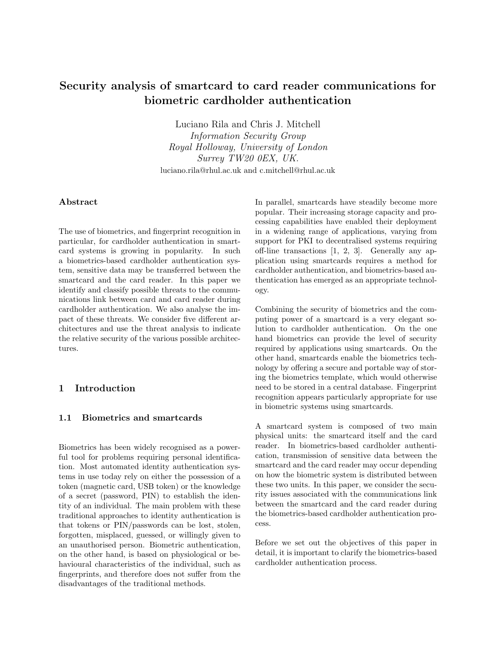# Security analysis of smartcard to card reader communications for biometric cardholder authentication

Luciano Rila and Chris J. Mitchell

Information Security Group Royal Holloway, University of London Surrey TW20 0EX, UK. luciano.rila@rhul.ac.uk and c.mitchell@rhul.ac.uk

## Abstract

The use of biometrics, and fingerprint recognition in particular, for cardholder authentication in smartcard systems is growing in popularity. In such a biometrics-based cardholder authentication system, sensitive data may be transferred between the smartcard and the card reader. In this paper we identify and classify possible threats to the communications link between card and card reader during cardholder authentication. We also analyse the impact of these threats. We consider five different architectures and use the threat analysis to indicate the relative security of the various possible architectures.

# 1 Introduction

## 1.1 Biometrics and smartcards

Biometrics has been widely recognised as a powerful tool for problems requiring personal identification. Most automated identity authentication systems in use today rely on either the possession of a token (magnetic card, USB token) or the knowledge of a secret (password, PIN) to establish the identity of an individual. The main problem with these traditional approaches to identity authentication is that tokens or PIN/passwords can be lost, stolen, forgotten, misplaced, guessed, or willingly given to an unauthorised person. Biometric authentication, on the other hand, is based on physiological or behavioural characteristics of the individual, such as fingerprints, and therefore does not suffer from the disadvantages of the traditional methods.

In parallel, smartcards have steadily become more popular. Their increasing storage capacity and processing capabilities have enabled their deployment in a widening range of applications, varying from support for PKI to decentralised systems requiring off-line transactions [1, 2, 3]. Generally any application using smartcards requires a method for cardholder authentication, and biometrics-based authentication has emerged as an appropriate technology.

Combining the security of biometrics and the computing power of a smartcard is a very elegant solution to cardholder authentication. On the one hand biometrics can provide the level of security required by applications using smartcards. On the other hand, smartcards enable the biometrics technology by offering a secure and portable way of storing the biometrics template, which would otherwise need to be stored in a central database. Fingerprint recognition appears particularly appropriate for use in biometric systems using smartcards.

A smartcard system is composed of two main physical units: the smartcard itself and the card reader. In biometrics-based cardholder authentication, transmission of sensitive data between the smartcard and the card reader may occur depending on how the biometric system is distributed between these two units. In this paper, we consider the security issues associated with the communications link between the smartcard and the card reader during the biometrics-based cardholder authentication process.

Before we set out the objectives of this paper in detail, it is important to clarify the biometrics-based cardholder authentication process.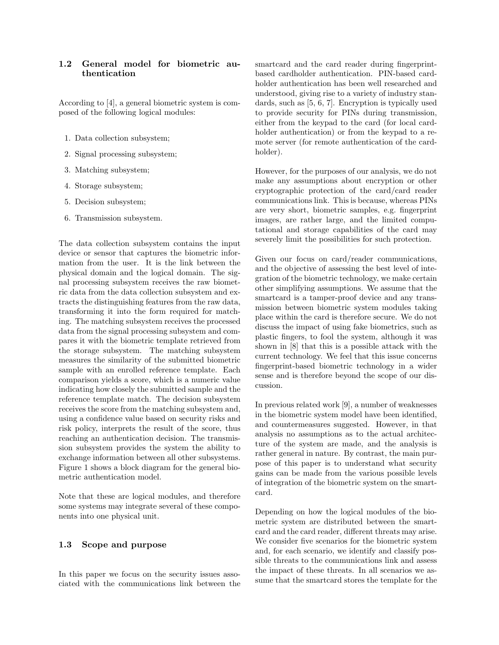# 1.2 General model for biometric authentication

According to [4], a general biometric system is composed of the following logical modules:

- 1. Data collection subsystem;
- 2. Signal processing subsystem;
- 3. Matching subsystem;
- 4. Storage subsystem;
- 5. Decision subsystem;
- 6. Transmission subsystem.

The data collection subsystem contains the input device or sensor that captures the biometric information from the user. It is the link between the physical domain and the logical domain. The signal processing subsystem receives the raw biometric data from the data collection subsystem and extracts the distinguishing features from the raw data, transforming it into the form required for matching. The matching subsystem receives the processed data from the signal processing subsystem and compares it with the biometric template retrieved from the storage subsystem. The matching subsystem measures the similarity of the submitted biometric sample with an enrolled reference template. Each comparison yields a score, which is a numeric value indicating how closely the submitted sample and the reference template match. The decision subsystem receives the score from the matching subsystem and, using a confidence value based on security risks and risk policy, interprets the result of the score, thus reaching an authentication decision. The transmission subsystem provides the system the ability to exchange information between all other subsystems. Figure 1 shows a block diagram for the general biometric authentication model.

Note that these are logical modules, and therefore some systems may integrate several of these components into one physical unit.

### 1.3 Scope and purpose

In this paper we focus on the security issues associated with the communications link between the smartcard and the card reader during fingerprintbased cardholder authentication. PIN-based cardholder authentication has been well researched and understood, giving rise to a variety of industry standards, such as [5, 6, 7]. Encryption is typically used to provide security for PINs during transmission, either from the keypad to the card (for local cardholder authentication) or from the keypad to a remote server (for remote authentication of the cardholder).

However, for the purposes of our analysis, we do not make any assumptions about encryption or other cryptographic protection of the card/card reader communications link. This is because, whereas PINs are very short, biometric samples, e.g. fingerprint images, are rather large, and the limited computational and storage capabilities of the card may severely limit the possibilities for such protection.

Given our focus on card/reader communications, and the objective of assessing the best level of integration of the biometric technology, we make certain other simplifying assumptions. We assume that the smartcard is a tamper-proof device and any transmission between biometric system modules taking place within the card is therefore secure. We do not discuss the impact of using fake biometrics, such as plastic fingers, to fool the system, although it was shown in [8] that this is a possible attack with the current technology. We feel that this issue concerns fingerprint-based biometric technology in a wider sense and is therefore beyond the scope of our discussion.

In previous related work [9], a number of weaknesses in the biometric system model have been identified, and countermeasures suggested. However, in that analysis no assumptions as to the actual architecture of the system are made, and the analysis is rather general in nature. By contrast, the main purpose of this paper is to understand what security gains can be made from the various possible levels of integration of the biometric system on the smartcard.

Depending on how the logical modules of the biometric system are distributed between the smartcard and the card reader, different threats may arise. We consider five scenarios for the biometric system and, for each scenario, we identify and classify possible threats to the communications link and assess the impact of these threats. In all scenarios we assume that the smartcard stores the template for the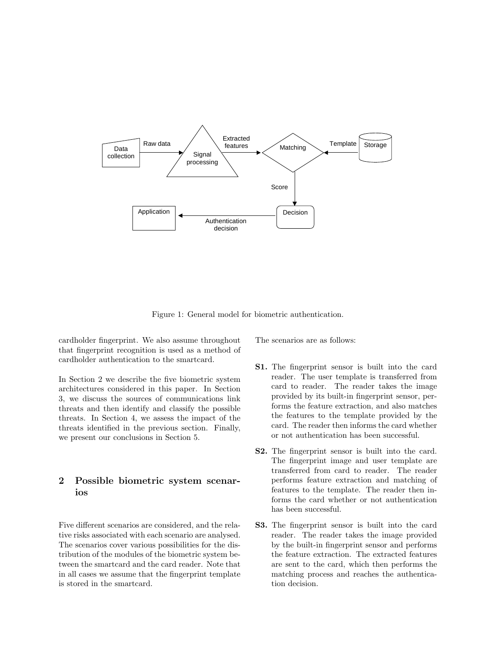

Figure 1: General model for biometric authentication.

cardholder fingerprint. We also assume throughout that fingerprint recognition is used as a method of cardholder authentication to the smartcard.

In Section 2 we describe the five biometric system architectures considered in this paper. In Section 3, we discuss the sources of communications link threats and then identify and classify the possible threats. In Section 4, we assess the impact of the threats identified in the previous section. Finally, we present our conclusions in Section 5.

# 2 Possible biometric system scenarios

Five different scenarios are considered, and the relative risks associated with each scenario are analysed. The scenarios cover various possibilities for the distribution of the modules of the biometric system between the smartcard and the card reader. Note that in all cases we assume that the fingerprint template is stored in the smartcard.

The scenarios are as follows:

- S1. The fingerprint sensor is built into the card reader. The user template is transferred from card to reader. The reader takes the image provided by its built-in fingerprint sensor, performs the feature extraction, and also matches the features to the template provided by the card. The reader then informs the card whether or not authentication has been successful.
- S2. The fingerprint sensor is built into the card. The fingerprint image and user template are transferred from card to reader. The reader performs feature extraction and matching of features to the template. The reader then informs the card whether or not authentication has been successful.
- S3. The fingerprint sensor is built into the card reader. The reader takes the image provided by the built-in fingerprint sensor and performs the feature extraction. The extracted features are sent to the card, which then performs the matching process and reaches the authentication decision.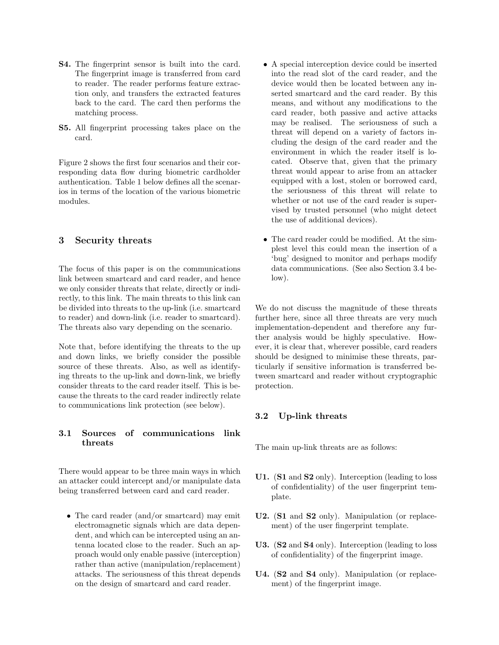- S4. The fingerprint sensor is built into the card. The fingerprint image is transferred from card to reader. The reader performs feature extraction only, and transfers the extracted features back to the card. The card then performs the matching process.
- S5. All fingerprint processing takes place on the card.

Figure 2 shows the first four scenarios and their corresponding data flow during biometric cardholder authentication. Table 1 below defines all the scenarios in terms of the location of the various biometric modules.

# 3 Security threats

The focus of this paper is on the communications link between smartcard and card reader, and hence we only consider threats that relate, directly or indirectly, to this link. The main threats to this link can be divided into threats to the up-link (i.e. smartcard to reader) and down-link (i.e. reader to smartcard). The threats also vary depending on the scenario.

Note that, before identifying the threats to the up and down links, we briefly consider the possible source of these threats. Also, as well as identifying threats to the up-link and down-link, we briefly consider threats to the card reader itself. This is because the threats to the card reader indirectly relate to communications link protection (see below).

# 3.1 Sources of communications link threats

There would appear to be three main ways in which an attacker could intercept and/or manipulate data being transferred between card and card reader.

• The card reader (and/or smartcard) may emit electromagnetic signals which are data dependent, and which can be intercepted using an antenna located close to the reader. Such an approach would only enable passive (interception) rather than active (manipulation/replacement) attacks. The seriousness of this threat depends on the design of smartcard and card reader.

- A special interception device could be inserted into the read slot of the card reader, and the device would then be located between any inserted smartcard and the card reader. By this means, and without any modifications to the card reader, both passive and active attacks may be realised. The seriousness of such a threat will depend on a variety of factors including the design of the card reader and the environment in which the reader itself is located. Observe that, given that the primary threat would appear to arise from an attacker equipped with a lost, stolen or borrowed card, the seriousness of this threat will relate to whether or not use of the card reader is supervised by trusted personnel (who might detect the use of additional devices).
- The card reader could be modified. At the simplest level this could mean the insertion of a 'bug' designed to monitor and perhaps modify data communications. (See also Section 3.4 below).

We do not discuss the magnitude of these threats further here, since all three threats are very much implementation-dependent and therefore any further analysis would be highly speculative. However, it is clear that, wherever possible, card readers should be designed to minimise these threats, particularly if sensitive information is transferred between smartcard and reader without cryptographic protection.

#### 3.2 Up-link threats

The main up-link threats are as follows:

- U1. (S1 and S2 only). Interception (leading to loss of confidentiality) of the user fingerprint template.
- U2. (S1 and S2 only). Manipulation (or replacement) of the user fingerprint template.
- U3. (S2 and S4 only). Interception (leading to loss of confidentiality) of the fingerprint image.
- U4. (S2 and S4 only). Manipulation (or replacement) of the fingerprint image.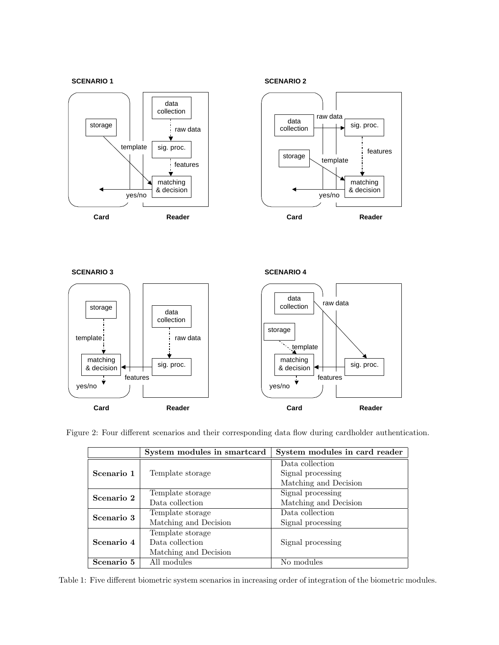#### **SCENARIO 1**





**SCENARIO 3**

**SCENARIO 4**



Figure 2: Four different scenarios and their corresponding data flow during cardholder authentication.

|            | System modules in smartcard | System modules in card reader |
|------------|-----------------------------|-------------------------------|
| Scenario 1 |                             | Data collection               |
|            | Template storage            | Signal processing             |
|            |                             | Matching and Decision         |
| Scenario 2 | Template storage            | Signal processing             |
|            | Data collection             | Matching and Decision         |
| Scenario 3 | Template storage            | Data collection               |
|            | Matching and Decision       | Signal processing             |
| Scenario 4 | Template storage            |                               |
|            | Data collection             | Signal processing             |
|            | Matching and Decision       |                               |
| Scenario 5 | All modules                 | No modules                    |

Table 1: Five different biometric system scenarios in increasing order of integration of the biometric modules.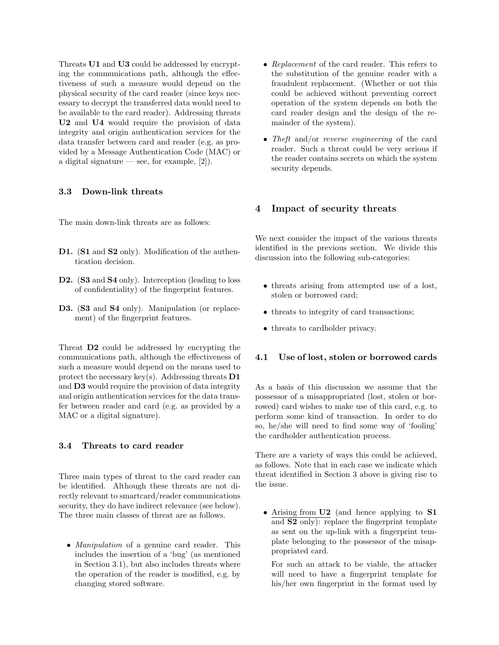Threats U1 and U3 could be addressed by encrypting the communications path, although the effectiveness of such a measure would depend on the physical security of the card reader (since keys necessary to decrypt the transferred data would need to be available to the card reader). Addressing threats U2 and U4 would require the provision of data integrity and origin authentication services for the data transfer between card and reader (e.g. as provided by a Message Authentication Code (MAC) or a digital signature — see, for example,  $[2]$ .

#### 3.3 Down-link threats

The main down-link threats are as follows:

- D1. (S1 and S2 only). Modification of the authentication decision.
- D2. (S3 and S4 only). Interception (leading to loss of confidentiality) of the fingerprint features.
- D3. (S3 and S4 only). Manipulation (or replacement) of the fingerprint features.

Threat D2 could be addressed by encrypting the communications path, although the effectiveness of such a measure would depend on the means used to protect the necessary key(s). Addressing threats  $D1$ and D3 would require the provision of data integrity and origin authentication services for the data transfer between reader and card (e.g. as provided by a MAC or a digital signature).

### 3.4 Threats to card reader

Three main types of threat to the card reader can be identified. Although these threats are not directly relevant to smartcard/reader communications security, they do have indirect relevance (see below). The three main classes of threat are as follows.

• *Manipulation* of a genuine card reader. This includes the insertion of a 'bug' (as mentioned in Section 3.1), but also includes threats where the operation of the reader is modified, e.g. by changing stored software.

- Replacement of the card reader. This refers to the substitution of the genuine reader with a fraudulent replacement. (Whether or not this could be achieved without preventing correct operation of the system depends on both the card reader design and the design of the remainder of the system).
- Theft and/or reverse engineering of the card reader. Such a threat could be very serious if the reader contains secrets on which the system security depends.

## 4 Impact of security threats

We next consider the impact of the various threats identified in the previous section. We divide this discussion into the following sub-categories:

- threats arising from attempted use of a lost, stolen or borrowed card;
- threats to integrity of card transactions;
- threats to cardholder privacy.

## 4.1 Use of lost, stolen or borrowed cards

As a basis of this discussion we assume that the possessor of a misappropriated (lost, stolen or borrowed) card wishes to make use of this card, e.g. to perform some kind of transaction. In order to do so, he/she will need to find some way of 'fooling' the cardholder authentication process.

There are a variety of ways this could be achieved, as follows. Note that in each case we indicate which threat identified in Section 3 above is giving rise to the issue.

• Arising from U2 (and hence applying to S1 and S2 only): replace the fingerprint template as sent on the up-link with a fingerprint template belonging to the possessor of the misappropriated card.

For such an attack to be viable, the attacker will need to have a fingerprint template for his/her own fingerprint in the format used by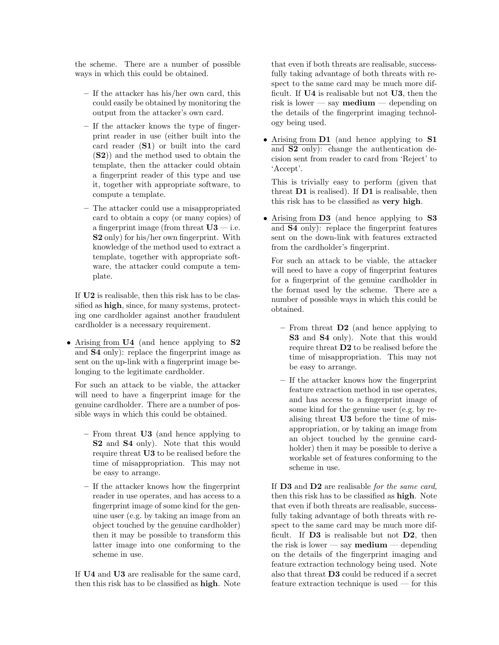the scheme. There are a number of possible ways in which this could be obtained.

- If the attacker has his/her own card, this could easily be obtained by monitoring the output from the attacker's own card.
- If the attacker knows the type of fingerprint reader in use (either built into the card reader (S1) or built into the card (S2)) and the method used to obtain the template, then the attacker could obtain a fingerprint reader of this type and use it, together with appropriate software, to compute a template.
- The attacker could use a misappropriated card to obtain a copy (or many copies) of a fingerprint image (from threat  $U3$  — i.e. S2 only) for his/her own fingerprint. With knowledge of the method used to extract a template, together with appropriate software, the attacker could compute a template.

If U2 is realisable, then this risk has to be classified as high, since, for many systems, protecting one cardholder against another fraudulent cardholder is a necessary requirement.

• Arising from U4 (and hence applying to S2 and S4 only): replace the fingerprint image as sent on the up-link with a fingerprint image belonging to the legitimate cardholder.

For such an attack to be viable, the attacker will need to have a fingerprint image for the genuine cardholder. There are a number of possible ways in which this could be obtained.

- From threat U3 (and hence applying to S2 and S4 only). Note that this would require threat U3 to be realised before the time of misappropriation. This may not be easy to arrange.
- If the attacker knows how the fingerprint reader in use operates, and has access to a fingerprint image of some kind for the genuine user (e.g. by taking an image from an object touched by the genuine cardholder) then it may be possible to transform this latter image into one conforming to the scheme in use.

If U4 and U3 are realisable for the same card, then this risk has to be classified as high. Note that even if both threats are realisable, successfully taking advantage of both threats with respect to the same card may be much more difficult. If U4 is realisable but not U3, then the risk is lower — say **medium** — depending on the details of the fingerprint imaging technology being used.

• Arising from **D1** (and hence applying to **S1** and S2 only): change the authentication decision sent from reader to card from 'Reject' to 'Accept'.

This is trivially easy to perform (given that threat D1 is realised). If D1 is realisable, then this risk has to be classified as very high.

• Arising from D3 (and hence applying to S3 and S4 only): replace the fingerprint features sent on the down-link with features extracted from the cardholder's fingerprint.

For such an attack to be viable, the attacker will need to have a copy of fingerprint features for a fingerprint of the genuine cardholder in the format used by the scheme. There are a number of possible ways in which this could be obtained.

- From threat  $\mathbf{D2}$  (and hence applying to S3 and S4 only). Note that this would require threat D2 to be realised before the time of misappropriation. This may not be easy to arrange.
- If the attacker knows how the fingerprint feature extraction method in use operates, and has access to a fingerprint image of some kind for the genuine user (e.g. by realising threat U3 before the time of misappropriation, or by taking an image from an object touched by the genuine cardholder) then it may be possible to derive a workable set of features conforming to the scheme in use.

If **D3** and **D2** are realisable for the same card, then this risk has to be classified as high. Note that even if both threats are realisable, successfully taking advantage of both threats with respect to the same card may be much more difficult. If D3 is realisable but not D2, then the risk is lower — say **medium** — depending on the details of the fingerprint imaging and feature extraction technology being used. Note also that threat D3 could be reduced if a secret feature extraction technique is used — for this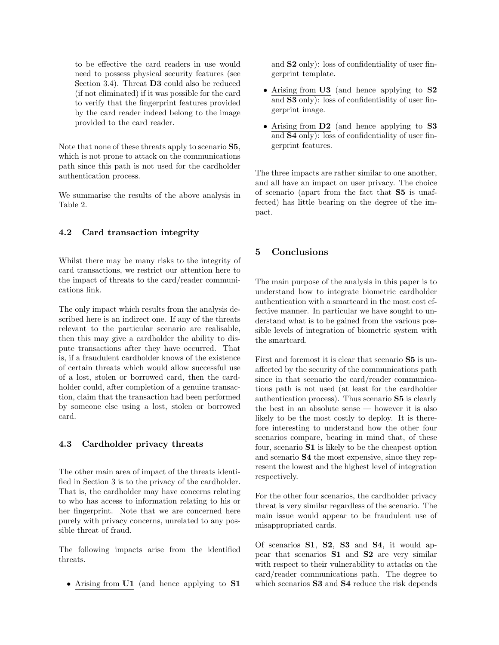to be effective the card readers in use would need to possess physical security features (see Section 3.4). Threat **D3** could also be reduced (if not eliminated) if it was possible for the card to verify that the fingerprint features provided by the card reader indeed belong to the image provided to the card reader.

Note that none of these threats apply to scenario S5, which is not prone to attack on the communications path since this path is not used for the cardholder authentication process.

We summarise the results of the above analysis in Table 2.

# 4.2 Card transaction integrity

Whilst there may be many risks to the integrity of card transactions, we restrict our attention here to the impact of threats to the card/reader communications link.

The only impact which results from the analysis described here is an indirect one. If any of the threats relevant to the particular scenario are realisable, then this may give a cardholder the ability to dispute transactions after they have occurred. That is, if a fraudulent cardholder knows of the existence of certain threats which would allow successful use of a lost, stolen or borrowed card, then the cardholder could, after completion of a genuine transaction, claim that the transaction had been performed by someone else using a lost, stolen or borrowed card.

### 4.3 Cardholder privacy threats

The other main area of impact of the threats identified in Section 3 is to the privacy of the cardholder. That is, the cardholder may have concerns relating to who has access to information relating to his or her fingerprint. Note that we are concerned here purely with privacy concerns, unrelated to any possible threat of fraud.

The following impacts arise from the identified threats.

• Arising from U1 (and hence applying to S1

and S2 only): loss of confidentiality of user fingerprint template.

- Arising from U3 (and hence applying to S2 and S3 only): loss of confidentiality of user fingerprint image.
- Arising from **D2** (and hence applying to **S3** and S4 only): loss of confidentiality of user fingerprint features.

The three impacts are rather similar to one another, and all have an impact on user privacy. The choice of scenario (apart from the fact that S5 is unaffected) has little bearing on the degree of the impact.

# 5 Conclusions

The main purpose of the analysis in this paper is to understand how to integrate biometric cardholder authentication with a smartcard in the most cost effective manner. In particular we have sought to understand what is to be gained from the various possible levels of integration of biometric system with the smartcard.

First and foremost it is clear that scenario S5 is unaffected by the security of the communications path since in that scenario the card/reader communications path is not used (at least for the cardholder authentication process). Thus scenario S5 is clearly the best in an absolute sense — however it is also likely to be the most costly to deploy. It is therefore interesting to understand how the other four scenarios compare, bearing in mind that, of these four, scenario S1 is likely to be the cheapest option and scenario S4 the most expensive, since they represent the lowest and the highest level of integration respectively.

For the other four scenarios, the cardholder privacy threat is very similar regardless of the scenario. The main issue would appear to be fraudulent use of misappropriated cards.

Of scenarios S1, S2, S3 and S4, it would appear that scenarios S1 and S2 are very similar with respect to their vulnerability to attacks on the card/reader communications path. The degree to which scenarios **S3** and **S4** reduce the risk depends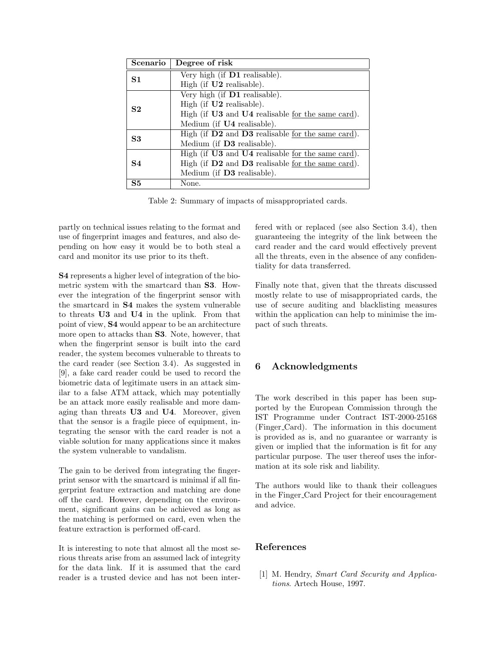| Scenario       | Degree of risk                                        |  |
|----------------|-------------------------------------------------------|--|
| S <sub>1</sub> | Very high (if D1 realisable).                         |  |
|                | High (if U2 realisable).                              |  |
| S <sub>2</sub> | Very high (if D1 realisable).                         |  |
|                | High (if $U2$ realisable).                            |  |
|                | High (if U3 and U4 realisable for the same card).     |  |
|                | Medium (if U4 realisable).                            |  |
| S <sub>3</sub> | High (if $D2$ and $D3$ realisable for the same card). |  |
|                | Medium (if D3 realisable).                            |  |
| S4             | High (if U3 and U4 realisable for the same card).     |  |
|                | High (if D2 and D3 realisable for the same card).     |  |
|                | Medium (if <b>D3</b> realisable).                     |  |
| S <sub>5</sub> | None.                                                 |  |

Table 2: Summary of impacts of misappropriated cards.

partly on technical issues relating to the format and use of fingerprint images and features, and also depending on how easy it would be to both steal a card and monitor its use prior to its theft.

S4 represents a higher level of integration of the biometric system with the smartcard than S3. However the integration of the fingerprint sensor with the smartcard in S4 makes the system vulnerable to threats U3 and U4 in the uplink. From that point of view, S4 would appear to be an architecture more open to attacks than S3. Note, however, that when the fingerprint sensor is built into the card reader, the system becomes vulnerable to threats to the card reader (see Section 3.4). As suggested in [9], a fake card reader could be used to record the biometric data of legitimate users in an attack similar to a false ATM attack, which may potentially be an attack more easily realisable and more damaging than threats U3 and U4. Moreover, given that the sensor is a fragile piece of equipment, integrating the sensor with the card reader is not a viable solution for many applications since it makes the system vulnerable to vandalism.

The gain to be derived from integrating the fingerprint sensor with the smartcard is minimal if all fingerprint feature extraction and matching are done off the card. However, depending on the environment, significant gains can be achieved as long as the matching is performed on card, even when the feature extraction is performed off-card.

It is interesting to note that almost all the most serious threats arise from an assumed lack of integrity for the data link. If it is assumed that the card reader is a trusted device and has not been interfered with or replaced (see also Section 3.4), then guaranteeing the integrity of the link between the card reader and the card would effectively prevent all the threats, even in the absence of any confidentiality for data transferred.

Finally note that, given that the threats discussed mostly relate to use of misappropriated cards, the use of secure auditing and blacklisting measures within the application can help to minimise the impact of such threats.

# 6 Acknowledgments

The work described in this paper has been supported by the European Commission through the IST Programme under Contract IST-2000-25168 (Finger Card). The information in this document is provided as is, and no guarantee or warranty is given or implied that the information is fit for any particular purpose. The user thereof uses the information at its sole risk and liability.

The authors would like to thank their colleagues in the Finger Card Project for their encouragement and advice.

# References

[1] M. Hendry, Smart Card Security and Applications. Artech House, 1997.